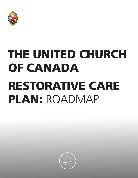

# THE UNITED CHURCH OF CANADA RESTORATIVE CARE PLAN: ROADMAP

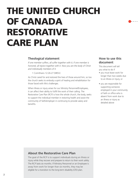# THE UNITED CHURCH OF CANADA RESTORATIVE CARE PLAN

### **Theological statement**

*If one member suffers, all suffer together with it; if one member is honored, all rejoice together with it. Now you are the body of Christ and individually members of it.*

1 Corinthians 12:26-27 (NRSV)

As Christ cared for and restored the lives of those around him, so too the church seeks to embody a spirit of healing and rehabilitation for those faced with life's challenges.

When illness or injury arises for our Ministry Personnel/Employees, it can affect their ability to fulfill the work of their calling. The Restorative Care Plan (RCP) is how the whole church, the body, seeks to support the individual member in restoring health and assist the community of faith/employer in continuing to provide salary and benefits.

### **How to use this document**

This document will tell you what to do if

- you must leave work for longer than two weeks due to an illness or injury, or
- you are responsible for supporting someone employed in your community of faith or office who is absent from work due to an illness or injury as detailed above

### **About the Restorative Care Plan**

The goal of the RCP is to support individuals during an illness or injury while they recover and prepare to return to their work safely. The RCP lasts six months. If Ministry Personnel or an Employee is away from work for longer than six months, they may be eligible for a transition to the long-term disability (LTD) plan.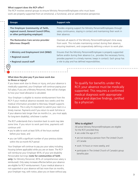#### **What support does the RCP offer?**

The RCP involves several groups to ensure Ministry Personnel/Employees who must leave work are properly supported from an emotional, a functional, and an administrative perspective.

| <b>Groups</b>                                                                                                      | <b>Support role</b>                                                                                                                                                                                                                                                         |
|--------------------------------------------------------------------------------------------------------------------|-----------------------------------------------------------------------------------------------------------------------------------------------------------------------------------------------------------------------------------------------------------------------------|
| The Employer (community of faith,<br>regional council, General Council Office,<br>or other participating employer) | Provides ongoing support for Ministry Personnel/Employees through<br>salary continuance, staying in contact and maintaining their work in<br>their absence.                                                                                                                 |
| The Restorative Care service provider<br>(Morneau Shepell)                                                         | Oversees all aspects of the Ministry Personnel/Employee's time away<br>from work. This includes maintaining contact during their absence,<br>ensuring treatment, and cooperatively defining a return to work plan.                                                          |
| • Ministry and Employment Unit (M&E)<br>• Regional council<br>• Regional council staff                             | Ensures that the Ministry Personnel/Employee is properly supported<br>before and/or during their absence (i.e., provides the necessary forms,<br>provides payment in a timely manner, keeps in contact). Each group has<br>a role to play and has defined responsibilities. |
|                                                                                                                    |                                                                                                                                                                                                                                                                             |

#### **What does the plan pay if you leave work due to illness or injury?**

If you leave work due to illness or injury, and your absence is medically supported, your Employer will continue paying your full salary. If you are a Ministry Personnel, there will be changes to how your travel allowance is calculated.

Your Employer is eligible to receive reimbursement from the RCP if your medical absence exceeds two weeks and the medical information provided to Morneau Shepell supports the absence. This is why it's important to submit your claim in a timely manner. Payments end if you return to work full-time or if your absence lasts longer than six months (i.e., you must apply for long-term disability), whichever is earlier.

The RCP understands that a transition back to work may take some time. If you return to work part-time, payments will continue until

- you're able to work at least 50% of the hours worked before your leave, and
- you can fulfill a significant number of your previous duties within the six-month RCP period

Your Employer will continue to pay you your salary including housing (where applicable) while you are on leave. The RCP will reimburse your Employer 85% of your pre-disability Pensionable Earnings (**note for communities of faith only:** for Ministry Personnel, 85% of comprehensive salary is reimbursed). Only salary increases effective before your absence are eligible for RCP reimbursement. If your medical absence is not supported or your absence will last more than six months, your Employer may, with notice, place you on leave without pay. To qualify for benefits under the RCP, your absence must be medically supported. This requires a confirmed medical diagnosis with appropriate clinical and objective findings, certified by a physician.

#### **Who is eligible?**

All active Ministry Personnel/Employees are eligible for the RCP, provided they

- are under the age of 71
- are not receiving a pension from The United Church of Canada
- work 14 hours or more weekly, and
- participate in The United Church of Canada's group benefits plan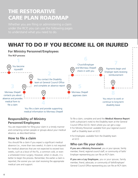# THE RESTORATIVE CARE PLAN ROADMAP

to understand what you need to do.

# WHAT TO DO IF YOU BECOME ILL OR INJURED



You file a claim and provide supporting medical information to Morneau Shepell

# **Responsibility of Ministry Personnel/Employees**

You are responsible for filing your claim in a timely manner and contacting certain people or groups about your medical absence, as described below.

# **How to file a claim**

You should file a claim if you expect a significant medical absence (i.e., more than two weeks). A claim is not required for medical absences that are not expected to exceed two weeks, such as a bout of the flu, a common cold, or even a scheduled minor surgery. However, when in doubt, it is better to begin the process. Remember, the earlier a claim is reported, the sooner you can start receiving the appropriate medical care and support.

To file a claim, complete and send the **Medical Absence Report** (with a physician's note) to the Disability team at the General Council Office (GCO). Here's where you can get a copy:

- For Ministry Personnel: available from your regional council staff or Disability team at GCO
- For Employees: available from the Disability team at GCO

# **Who can file your claim**

**If you are a Ministry Personnel**, you or your spouse, family member, friend, regional council staff, or community of faith/ Employer representing you can file an RCP claim.

**If you are a Lay Employee**, you or your spouse, family member, friend, advocate, or community of faith/Employer/ General Council Office representing you can file an RCP claim.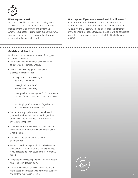

#### **What happens next?**

Once you have filed a claim, the Disability team will contact Morneau Shepell, who will request medical information from you to determine whether your absence is medically supported. Once approved, reimbursements to your Employer are made on the first of each month.

#### **What happens if you return to work and disability recurs?**

If you return to work before the end of the six-month RCP period and then become disabled for the same reason within 90 days, your RCP claim will be reinstated for the remainder of the six-month period. Otherwise, the claim will be considered a new RCP claim. In either case, contact the Disability team at GCO.

### **Additional to-dos**

In addition to submitting the necessary forms, you must do the following:

- Provide any follow-up medical documentation as requested by Morneau Shepell.
- Contact the following groups about your expected medical absence:
	- > the pastoral charge Ministry and Personnel Committee
	- > the regional council staff (Ministry Personnel only)
	- > the supervisor or manager at GCO or the regional council office (GCO/regional council Employees only)
	- > your Employer (Employees of Organizational and Conditional Employers only)
- Contact the appropriate group (see above) if your medical absence is likely to last longer than two weeks. There is no need to wait until the two weeks have passed.
- Work with Morneau Shepell to develop a plan to help you return to health and work. Investigation is not the purpose.
- Get medical treatment and follow your treatment plan.
- Return to work once your physician believes you are ready, or file for long-term disability (see page 10) if you expect to be away beyond the six-month RCP period.
- Complete the necessary paperwork if you choose to file a long-term disability claim.
- It may also be helpful to have a family member or friend act as an advocate, who performs a supportive and pastoral role to care for you. **5**

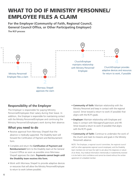# WHAT TO DO IF MINISTRY PERSONNEL/ EMPLOYEE FILES A CLAIM

**For the Employer (Community of Faith, Regional Council, General Council Office, or Other Participating Employer) The RCP process**



# **Responsibility of the Employer**

The Employer is responsible for paying Ministry Personnel/Employees their salary during their leave. In addition, the Employer is responsible for maintaining contact with the Ministry Personnel/Employee and continuing the Ministry Personnel's/Employee's work during their absence.

### **What you need to do**

- Receive approval from Morneau Shepell that the absence is medically supported. The Disability team will forward the Certification of Payment and Reimbursement form.
- Complete and return the **Certification of Payment and Reimbursement** form to the Disability team at the General Council Office as soon as possible once Morneau Shepell approves the claim. **Payments cannot begin until the Disability team receives this form.**
- Work with Morneau Shepell to provide adaptive devices or resources that will allow the Ministry Personnel/Employee to return to work (where possible).
- **Community of faith:** Maintain relationship with the Ministry Personnel and keep in contact with the regional council. Strive toward a return to work (if possible) that aligns with the RCP's goals.
- **Employer:** Maintain relationship with Employee and keep in contact with Managers/Supervisors and HR. Strive toward a return to work (if possible) that aligns with the RCP's goals.
- **Community of faith:** Continue to undertake the work of the church and meet its missions and goals in the Ministry Personnel's absence.

NOTE: The Employer, a regional council committee, the regional council staff (or other appropriate regional council employee), and the Disability team members do not have the right to ask about the diagnosis or nature of an illness. Any medical information intentionally or inadvertently received is to be held in strict confidence and cannot be shared without the written agreement of a disabled member.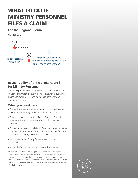# WHAT TO DO IF MINISTRY PERSONNEL FILES A CLAIM

### **For the Regional Council**

**The RCP process**



# **Responsibility of the regional council for Ministry Personnel**

It is the responsibility of the regional council to support the Ministry Personnel in the event they need assistance during the claims approval process, and to manage administrative tasks relating to their absence.

# **What you need to do**

- Ensure that appropriate arrangements for pastoral care are made for the Ministry Personnel and the community of faith.
- Record the start date of the Ministry Personnel's medical absence in the appropriate regional council committee minutes.
- Follow the progress of the Ministry Personnel's absence so that the pastoral care needs of both the community of faith and the disabled Ministry Personnel can be met.
- Work towards the Ministry Personnel's return to work, if possible.
- Inform the Office of Vocation of the medical absence.

NOTE: The community of faith, a regional council committee, the regional council staff (or other appropriate regional council employee), and the Disability team members do not have the right to ask about the diagnosis or nature of an illness. Any medical information intentionally or inadvertently received is to be held in strict confidence and cannot be shared without the written agreement of a disabled member.

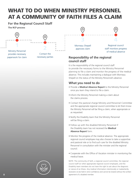# WHAT TO DO WHEN MINISTRY PERSONNEL AT A COMMUNITY OF FAITH FILES A CLAIM

# **For the Regional Council Staff**

**The RCP process**



provides necessary paperwork for claim

Contact the necessary parties Morneau Shepell<br>approves claim

Regional council staff monitors progress of medical absence

# **Responsibility of the regional council staff**

It is the responsibility of the regional council staff to provide the necessary forms to the Ministry Personnel planning to file a claim and monitor the progress of the medical absence. This includes maintaining a dialogue with Morneau Shepell on the status of the Ministry Personnel's absence.

# **What you need to do**

- Provide a **Medical Absence Report** to the Ministry Personnel once you learn they intend to file a claim.
- Inform the Ministry Personnel making a claim about the claims process.
- Contact the pastoral charge Ministry and Personnel Committee and the appropriate regional council committee to let them know the Ministry Personnel will be filing a claim, when appropriate or as requested.
- Notify the Disability team that the Ministry Personnel will be filing a claim.
- Follow up with the disabled Ministry Personnel if the Disability team has not received the **Medical Absence Report** form.
- Monitor the progress of the medical absence. The appropriate regional council employee may also choose to take a supportive and pastoral role or to find such care for the disabled Ministry Personnel in consultation with the minister and the regional council.
- Cooperate with the Office of Vocation minister in monitoring the medical leave.

NOTE: The community of faith, a regional council committee, the regional council staff (or other appropriate regional council employee), and the Disability team members do not have the right to ask about the diagnosis or nature of an illness. Any medical information intentionally or inadvertently received is to be held in strict confidence and cannot be shared without the written **8 a** agreement of a disabled member.

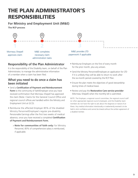# THE PLAN ADMINISTRATOR'S RESPONSIBILITIES

# **For Ministry and Employment Unit (M&E)**

**The RCP process**



# **Responsibility of the Plan Administrator**

administration tasks

It is the responsibility of the Disability team, on behalf of the Plan Administrator, to manage the administrative information of a member when a claim has been filed.

### **What you need to do once a claim has been initiated**

- Send a **Certification of Payment and Reimbursement**  Form to the community of faith/Employer once you have received confirmation that Morneau Shepell has approved the claim (Note: Claims for the General Council Office and regional council offices are handled within the Ministry and Employment Unit at GCO).
- Reimburse the affected Employer 85% of the disabled Ministry Personnel/Employee's regular pre-disability Pensionable Earnings after the first two weeks of medical absence, once you have received a completed **Certification of Payment and Reimbursement Form.**
	- > **Note for communities of faith only:** for Ministry Personnel, 85% of comprehensive salary is reimbursed, if applicable.
- Reimburse Employers on the first of every month for the prior month, plus any arrears.
- Send the Ministry Personnel/Employee an application for LTD if it is unlikely they will be able to return to work after the six-month period covered by the RCP Plan.
- Ensure the plan meets the objectives of good stewardship during times of medical leave.
- Review and pay the **Restorative Care service provider** (Morneau Shepell) when the monthly bill is submitted.

NOTE: The Employer, a regional council committee, the regional council staff (or other appropriate regional council employee), and the Disability team members do not have the right to ask about the diagnosis or nature of an illness. Any medical information intentionally or inadvertently received is to be held in strict confidence and cannot be shared without the written agreement of a disabled member.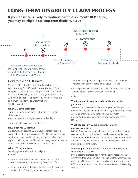# LONG-TERM DISABILITY CLAIM PROCESS

**If your absence is likely to continue past the six-month RCP period, you may be eligible for long-term disability (LTD).** 



to complete the transition to LTD about 8 to 10 weeks before RCP ends

### **How to file an LTD claim**

Morneau Shepell will contact the Disability team approximately 8 to 10 weeks before the end of your RCP period, and recommend that your file be transitioned to LTD. The Disability team will send you a letter along with the LTD application form. You need to complete and return these forms to Great-West Life (the LTD insurer).

### **When LTD payments begin**

If your LTD claim is approved, LTD benefits will begin at the later of

- six months after the beginning of your disability, or
- when benefits paid under the RCP end.

### **How much you will receive**

LTD payments are equal to 60% of your earnings before you became disabled, up to a maximum of \$5,000 per month. This is a non-taxable benefit, and the clergy residence deduction does not apply. Your LTD payments will be reduced by any salary continuance received from your employer after the RCP period ends.

### **When LTD payments end**

Benefit payments will continue until you

- recover
- return to work (unless you return to work as part of a rehabilitation program approved by Great-West Life)
- are no longer under the care of a physician, fail to meet the definition of disability as defined by the LTD contract, or

refuse to participate and cooperate in medical or vocational rehabilitation activities approved by Great-West Life

- turn age 65 (payments continue to the end of that month) and are therefore eligible to draw your pension, or
- die

### **What happens to your group benefits plan while you are on LTD**

You continue to be covered under your group benefits plan if you go onto LTD, but you are not required to pay the premium for this coverage until you are no longer disabled or reach age 65. Your pension continues to grow while you receive LTD benefits.

### **What happens if you are a Ministry Personnel and live in a manse**

Ministry Personnel are responsible for finding suitable alternative accommodation once the disability has been confirmed as total and permanent disability. The community of faith is responsible for the Ministry Personnel's reasonable moving costs to the alternative accommodation.

### **What happens if you return to work and disability recurs following an LTD claim?**

If you become disabled again for the same reason within six months, then your LTD claim will be reinstated. Otherwise, the disability will be considered as a new claim, in which case a new RCP claim must be submitted. In either case, contact the Disability team at GCO.